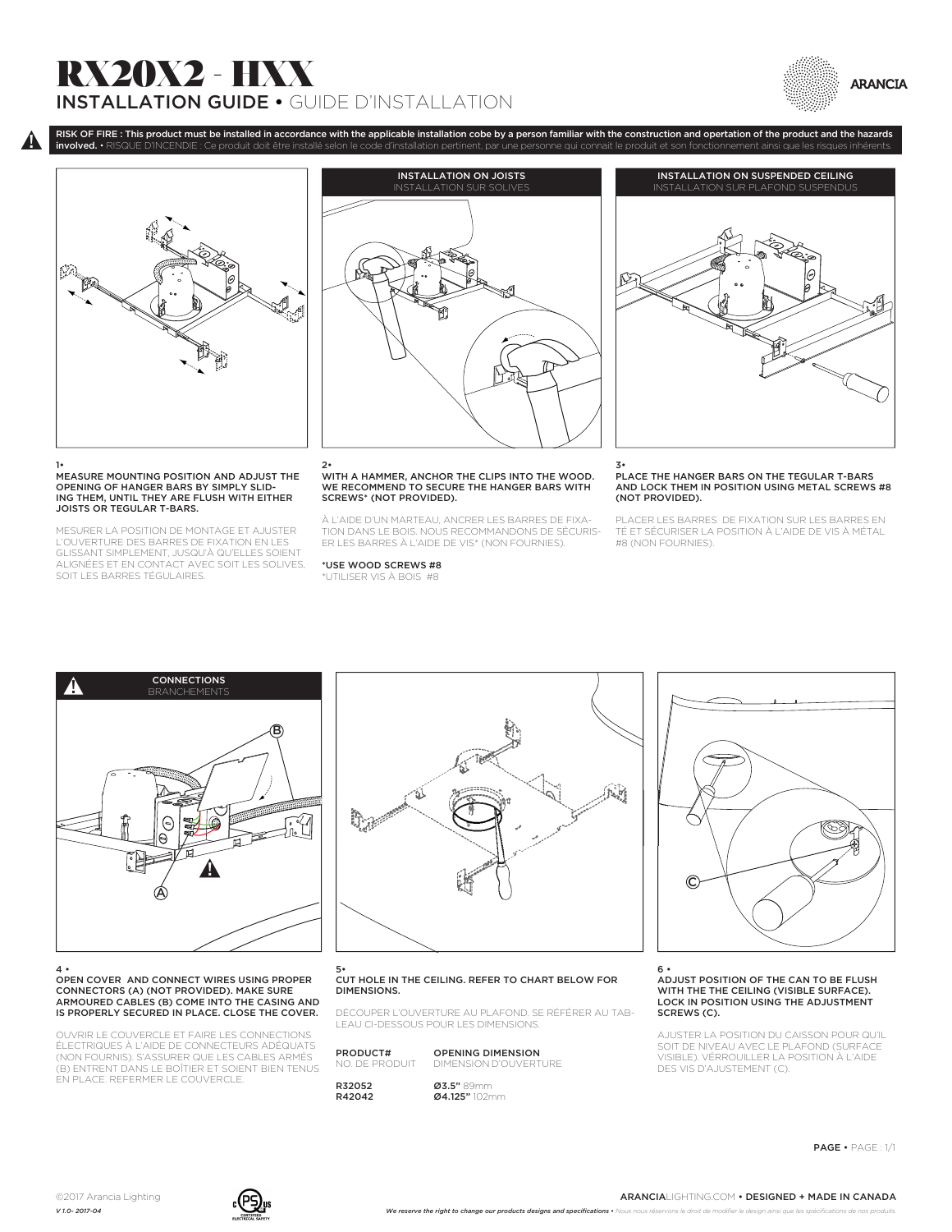# RX20X2 - HXX INSTALLATION GUIDE • GUIDE D'INSTALLATION





### 1• MEASURE MOUNTING POSITION AND ADJUST THE OPENING OF HANGER BARS BY SIMPLY SLID-ING THEM, UNTIL THEY ARE FLUSH WITH EITHER JOISTS OR TEGULAR T-BARS.

MESURER LA POSITION DE MONTAGE ET AJUSTER L'OUVERTURE DES BARRES DE FIXATION EN LES GLISSANT SIMPLEMENT, JUSQU'À QU'ELLES SOIENT ALIGNÉES ET EN CONTACT AVEC SOIT LES SOLIVES, SOIT LES BARRES TÉGULAIRES.



RISK OF FIRE : This product must be installed in accordance with the applicable installation cobe by a person familiar with the construction and opertation of the product and the hazards

## 2• WITH A HAMMER, ANCHOR THE CLIPS INTO THE WOOD. WE RECOMMEND TO SECURE THE HANGER BARS WITH SCREWS\* (NOT PROVIDED).

À L'AIDE D'UN MARTEAU, ANCRER LES BARRES DE FIXA-TION DANS LE BOIS. NOUS RECOMMANDONS DE SÉCURIS-ER LES BARRES À L'AIDE DE VIS\* (NON FOURNIES).

\*USE WOOD SCREWS #8 \*UTILISER VIS À BOIS #8



3• PLACE THE HANGER BARS ON THE TEGULAR T-BARS AND LOCK THEM IN POSITION USING METAL SCREWS #8 (NOT PROVIDED).

PLACER LES BARRES DE FIXATION SUR LES BARRES EN TÉ ET SÉCURISER LA POSITION À L'AIDE DE VIS À MÉTAL #8 (NON FOURNIES).



#### 4 • OPEN COVER AND CONNECT WIRES USING PROPER CONNECTORS (A) (NOT PROVIDED). MAKE SURE ARMOURED CABLES (B) COME INTO THE CASING AND IS PROPERLY SECURED IN PLACE. CLOSE THE COVER.

OUVRIR LE COUVERCLE ET FAIRE LES CONNECTIONS ÉLECTRIQUES À L'AIDE DE CONNECTEURS ADÉQUATS (NON FOURNIS). S'ASSURER QUE LES CABLES ARMÉS (B) ENTRENT DANS LE BOÎTIER ET SOIENT BIEN TENUS EN PLACE. REFERMER LE COUVERCLE.



#### 5• CUT HOLE IN THE CEILING. REFER TO CHART BELOW FOR DIMENSIONS.

DÉCOUPER L'OUVERTURE AU PLAFOND. SE RÉFÉRER AU TAB-LEAU CI-DESSOUS POUR LES DIMENSIONS.

| PRODUCT#      | <b>OPENING DIMENSION</b> |
|---------------|--------------------------|
| NO DE PRODUIT | DIMENSION D'OUVERTURE    |
| R32052        | <b>Ø3.5"</b> 89mm        |
| R42042        | Ø4.125" 102mm            |



### 6 • ADJUST POSITION OF THE CAN TO BE FLUSH WITH THE THE CEILING (VISIBLE SURFACE). LOCK IN POSITION USING THE ADJUSTMENT SCREWS (C).

AJUSTER LA POSITION DU CAISSON POUR QU'IL SOIT DE NIVEAU AVEC LE PLAFOND (SURFACE VISIBLE). VÉRROUILLER LA POSITION À L'AIDE DES VIS D'AJUSTEMENT (C).

PAGE • PAGE : 1/1